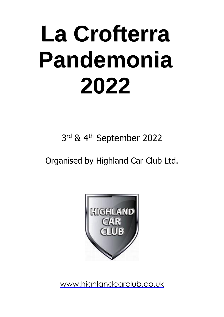# **La Crofterra Pandemonia 2022**

3<sup>rd</sup> & 4<sup>th</sup> September 2022

Organised by Highland Car Club Ltd.



[www.highlandcarclub.co.uk](http://www.highlandcarclub.co.uk/)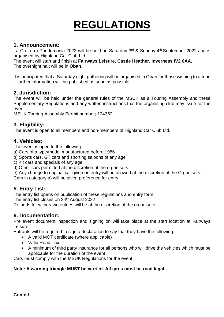# **REGULATIONS**

# **1. Announcement:**

La Crofterra Pandemonia 2022 will be held on Saturday 3<sup>rd</sup> & Sunday 4<sup>th</sup> September 2022 and is organised by Highland Car Club Ltd.

The event will start and finish at **Fairways Leisure, Castle Heather, Inverness IV2 6AA.** The overnight halt will be in **Oban**.

It is anticipated that a Saturday night gathering will be organised in Oban for those wishing to attend – further information will be published as soon as possible.

# **2. Jurisdiction:**

The event will be held under the general rules of the MSUK as a Touring Assembly and these Supplementary Regulations and any written instructions that the organising club may issue for the event.

MSUK Touring Assembly Permit number; 124362

# **3. Eligibility:**

The event is open to all members and non-members of Highland Car Club Ltd.

# **4. Vehicles:**

The event is open to the following:

- a) Cars of a type/model manufactured before 1986
- b) Sports cars, GT cars and sporting saloons of any age
- c) Kit cars and specials of any age
- d) Other cars permitted at the discretion of the organisers
- e) Any change to original car given on entry will be allowed at the discretion of the Organisers.

Cars in category a) will be given preference for entry

# **5. Entry List:**

The entry list opens on publication of these regulations and entry form.

The entry list closes on 24<sup>th</sup> August 2022

Refunds for withdrawn entries will be at the discretion of the organisers.

# **6. Documentation:**

Pre event document inspection and signing on will take place at the start location at Fairways Leisure.

Entrants will be required to sign a declaration to say that they have the following:

- A valid MOT certificate (where applicable)
- Valid Road Tax
- A minimum of third party insurance for all persons who will drive the vehicles which must be applicable for the duration of the event

Cars must comply with the MSUK Regulations for the event

### **Note: A warning triangle MUST be carried. All tyres must be road legal.**